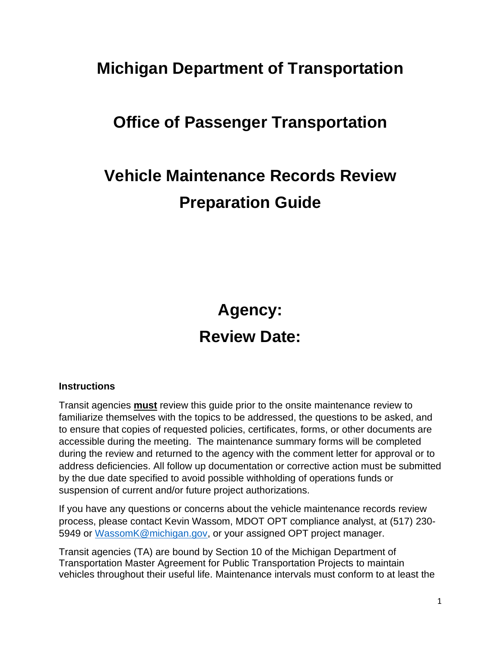## **Michigan Department of Transportation**

# **Office of Passenger Transportation**

# **Vehicle Maintenance Records Review Preparation Guide**

## **Agency:**

## **Review Date:**

#### **Instructions**

Transit agencies **must** review this guide prior to the onsite maintenance review to familiarize themselves with the topics to be addressed, the questions to be asked, and to ensure that copies of requested policies, certificates, forms, or other documents are accessible during the meeting. The maintenance summary forms will be completed during the review and returned to the agency with the comment letter for approval or to address deficiencies. All follow up documentation or corrective action must be submitted by the due date specified to avoid possible withholding of operations funds or suspension of current and/or future project authorizations.

If you have any questions or concerns about the vehicle maintenance records review process, please contact Kevin Wassom, MDOT OPT compliance analyst, at (517) 230- 5949 or [WassomK@michigan.gov,](mailto:WassomK@michigan.gov) or your assigned OPT project manager.

Transit agencies (TA) are bound by Section 10 of the Michigan Department of Transportation Master Agreement for Public Transportation Projects to maintain vehicles throughout their useful life. Maintenance intervals must conform to at least the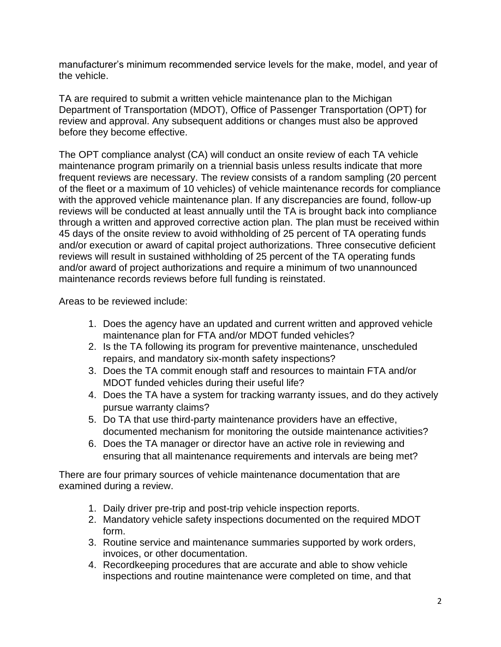manufacturer's minimum recommended service levels for the make, model, and year of the vehicle.

TA are required to submit a written vehicle maintenance plan to the Michigan Department of Transportation (MDOT), Office of Passenger Transportation (OPT) for review and approval. Any subsequent additions or changes must also be approved before they become effective.

The OPT compliance analyst (CA) will conduct an onsite review of each TA vehicle maintenance program primarily on a triennial basis unless results indicate that more frequent reviews are necessary. The review consists of a random sampling (20 percent of the fleet or a maximum of 10 vehicles) of vehicle maintenance records for compliance with the approved vehicle maintenance plan. If any discrepancies are found, follow-up reviews will be conducted at least annually until the TA is brought back into compliance through a written and approved corrective action plan. The plan must be received within 45 days of the onsite review to avoid withholding of 25 percent of TA operating funds and/or execution or award of capital project authorizations. Three consecutive deficient reviews will result in sustained withholding of 25 percent of the TA operating funds and/or award of project authorizations and require a minimum of two unannounced maintenance records reviews before full funding is reinstated.

Areas to be reviewed include:

- 1. Does the agency have an updated and current written and approved vehicle maintenance plan for FTA and/or MDOT funded vehicles?
- 2. Is the TA following its program for preventive maintenance, unscheduled repairs, and mandatory six-month safety inspections?
- 3. Does the TA commit enough staff and resources to maintain FTA and/or MDOT funded vehicles during their useful life?
- 4. Does the TA have a system for tracking warranty issues, and do they actively pursue warranty claims?
- 5. Do TA that use third-party maintenance providers have an effective, documented mechanism for monitoring the outside maintenance activities?
- 6. Does the TA manager or director have an active role in reviewing and ensuring that all maintenance requirements and intervals are being met?

There are four primary sources of vehicle maintenance documentation that are examined during a review.

- 1. Daily driver pre-trip and post-trip vehicle inspection reports.
- 2. Mandatory vehicle safety inspections documented on the required MDOT form.
- 3. Routine service and maintenance summaries supported by work orders, invoices, or other documentation.
- 4. Recordkeeping procedures that are accurate and able to show vehicle inspections and routine maintenance were completed on time, and that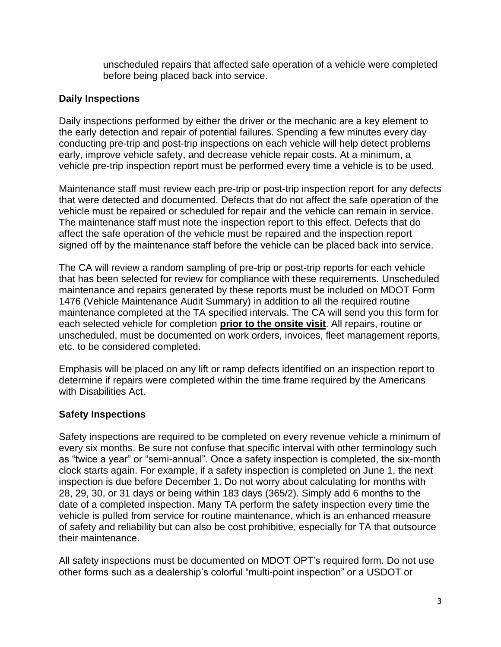unscheduled repairs that affected safe operation of a vehicle were completed before being placed back into service.

#### **Daily Inspections**

Daily inspections performed by either the driver or the mechanic are a key element to the early detection and repair of potential failures. Spending a few minutes every day conducting pre-trip and post-trip inspections on each vehicle will help detect problems early, improve vehicle safety, and decrease vehicle repair costs. At a minimum, a vehicle pre-trip inspection report must be performed every time a vehicle is to be used.

Maintenance staff must review each pre-trip or post-trip inspection report for any defects that were detected and documented. Defects that do not affect the safe operation of the vehicle must be repaired or scheduled for repair and the vehicle can remain in service. The maintenance staff must note the inspection report to this effect. Defects that do affect the safe operation of the vehicle must be repaired and the inspection report signed off by the maintenance staff before the vehicle can be placed back into service.

The CA will review a random sampling of pre-trip or post-trip reports for each vehicle that has been selected for review for compliance with these requirements. Unscheduled maintenance and repairs generated by these reports must be included on MDOT Form 1476 (Vehicle Maintenance Audit Summary) in addition to all the required routine maintenance completed at the TA specified intervals. The CA will send you this form for each selected vehicle for completion **prior to the onsite visit**. All repairs, routine or unscheduled, must be documented on work orders, invoices, fleet management reports, etc. to be considered completed.

Emphasis will be placed on any lift or ramp defects identified on an inspection report to determine if repairs were completed within the time frame required by the Americans with Disabilities Act.

#### **Safety Inspections**

Safety inspections are required to be completed on every revenue vehicle a minimum of every six months. Be sure not confuse that specific interval with other terminology such as "twice a year" or "semi-annual". Once a safety inspection is completed, the six-month clock starts again. For example, if a safety inspection is completed on June 1, the next inspection is due before December 1. Do not worry about calculating for months with 28, 29, 30, or 31 days or being within 183 days (365/2). Simply add 6 months to the date of a completed inspection. Many TA perform the safety inspection every time the vehicle is pulled from service for routine maintenance, which is an enhanced measure of safety and reliability but can also be cost prohibitive, especially for TA that outsource their maintenance.

All safety inspections must be documented on MDOT OPT's required form. Do not use other forms such as a dealership's colorful "multi-point inspection" or a USDOT or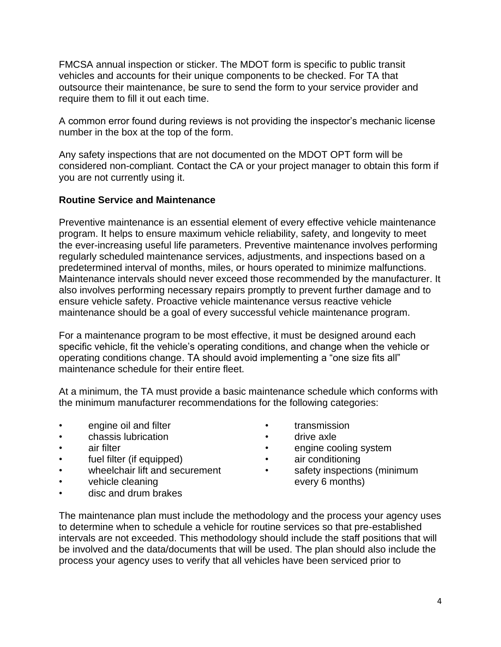FMCSA annual inspection or sticker. The MDOT form is specific to public transit vehicles and accounts for their unique components to be checked. For TA that outsource their maintenance, be sure to send the form to your service provider and require them to fill it out each time.

A common error found during reviews is not providing the inspector's mechanic license number in the box at the top of the form.

Any safety inspections that are not documented on the MDOT OPT form will be considered non-compliant. Contact the CA or your project manager to obtain this form if you are not currently using it.

#### **Routine Service and Maintenance**

Preventive maintenance is an essential element of every effective vehicle maintenance program. It helps to ensure maximum vehicle reliability, safety, and longevity to meet the ever-increasing useful life parameters. Preventive maintenance involves performing regularly scheduled maintenance services, adjustments, and inspections based on a predetermined interval of months, miles, or hours operated to minimize malfunctions. Maintenance intervals should never exceed those recommended by the manufacturer. It also involves performing necessary repairs promptly to prevent further damage and to ensure vehicle safety. Proactive vehicle maintenance versus reactive vehicle maintenance should be a goal of every successful vehicle maintenance program.

For a maintenance program to be most effective, it must be designed around each specific vehicle, fit the vehicle's operating conditions, and change when the vehicle or operating conditions change. TA should avoid implementing a "one size fits all" maintenance schedule for their entire fleet.

At a minimum, the TA must provide a basic maintenance schedule which conforms with the minimum manufacturer recommendations for the following categories:

- engine oil and filter
- chassis lubrication
- air filter
- fuel filter (if equipped)
- wheelchair lift and securement
- vehicle cleaning
- disc and drum brakes
- **transmission**
- drive axle
- engine cooling system
- air conditioning
- safety inspections (minimum every 6 months)

The maintenance plan must include the methodology and the process your agency uses to determine when to schedule a vehicle for routine services so that pre-established intervals are not exceeded. This methodology should include the staff positions that will be involved and the data/documents that will be used. The plan should also include the process your agency uses to verify that all vehicles have been serviced prior to